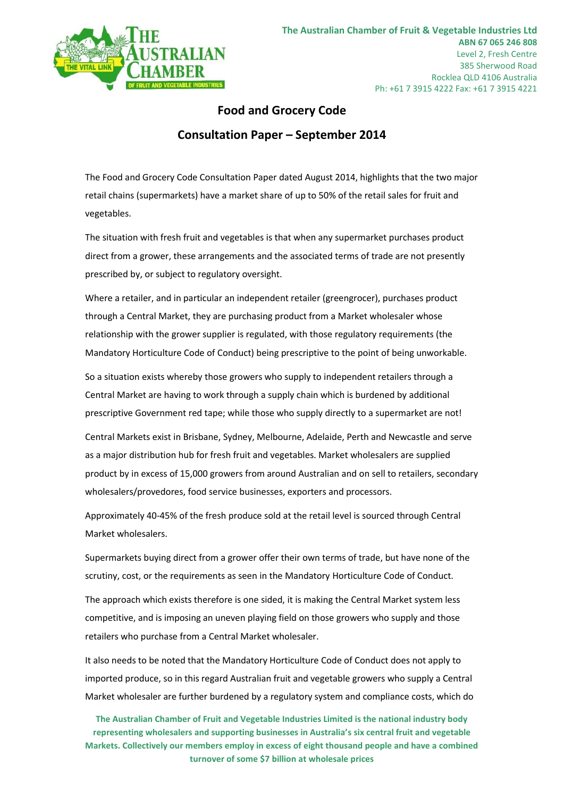

# **Food and Grocery Code Consultation Paper – September 2014**

The Food and Grocery Code Consultation Paper dated August 2014, highlights that the two major retail chains (supermarkets) have a market share of up to 50% of the retail sales for fruit and vegetables.

The situation with fresh fruit and vegetables is that when any supermarket purchases product direct from a grower, these arrangements and the associated terms of trade are not presently prescribed by, or subject to regulatory oversight.

Where a retailer, and in particular an independent retailer (greengrocer), purchases product through a Central Market, they are purchasing product from a Market wholesaler whose relationship with the grower supplier is regulated, with those regulatory requirements (the Mandatory Horticulture Code of Conduct) being prescriptive to the point of being unworkable.

So a situation exists whereby those growers who supply to independent retailers through a Central Market are having to work through a supply chain which is burdened by additional prescriptive Government red tape; while those who supply directly to a supermarket are not!

Central Markets exist in Brisbane, Sydney, Melbourne, Adelaide, Perth and Newcastle and serve as a major distribution hub for fresh fruit and vegetables. Market wholesalers are supplied product by in excess of 15,000 growers from around Australian and on sell to retailers, secondary wholesalers/provedores, food service businesses, exporters and processors.

Approximately 40-45% of the fresh produce sold at the retail level is sourced through Central Market wholesalers.

Supermarkets buying direct from a grower offer their own terms of trade, but have none of the scrutiny, cost, or the requirements as seen in the Mandatory Horticulture Code of Conduct.

The approach which exists therefore is one sided, it is making the Central Market system less competitive, and is imposing an uneven playing field on those growers who supply and those retailers who purchase from a Central Market wholesaler.

It also needs to be noted that the Mandatory Horticulture Code of Conduct does not apply to imported produce, so in this regard Australian fruit and vegetable growers who supply a Central Market wholesaler are further burdened by a regulatory system and compliance costs, which do

**The Australian Chamber of Fruit and Vegetable Industries Limited is the national industry body representing wholesalers and supporting businesses in Australia's six central fruit and vegetable Markets. Collectively our members employ in excess of eight thousand people and have a combined turnover of some \$7 billion at wholesale prices**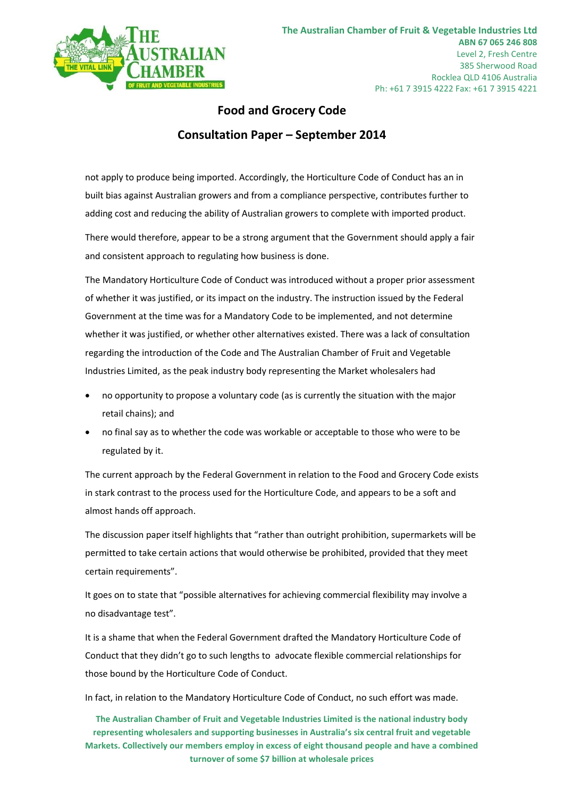

### **Food and Grocery Code Consultation Paper – September 2014**

not apply to produce being imported. Accordingly, the Horticulture Code of Conduct has an in built bias against Australian growers and from a compliance perspective, contributes further to adding cost and reducing the ability of Australian growers to complete with imported product.

There would therefore, appear to be a strong argument that the Government should apply a fair and consistent approach to regulating how business is done.

The Mandatory Horticulture Code of Conduct was introduced without a proper prior assessment of whether it was justified, or its impact on the industry. The instruction issued by the Federal Government at the time was for a Mandatory Code to be implemented, and not determine whether it was justified, or whether other alternatives existed. There was a lack of consultation regarding the introduction of the Code and The Australian Chamber of Fruit and Vegetable Industries Limited, as the peak industry body representing the Market wholesalers had

- no opportunity to propose a voluntary code (as is currently the situation with the major retail chains); and
- no final say as to whether the code was workable or acceptable to those who were to be regulated by it.

The current approach by the Federal Government in relation to the Food and Grocery Code exists in stark contrast to the process used for the Horticulture Code, and appears to be a soft and almost hands off approach.

The discussion paper itself highlights that "rather than outright prohibition, supermarkets will be permitted to take certain actions that would otherwise be prohibited, provided that they meet certain requirements".

It goes on to state that "possible alternatives for achieving commercial flexibility may involve a no disadvantage test".

It is a shame that when the Federal Government drafted the Mandatory Horticulture Code of Conduct that they didn't go to such lengths to advocate flexible commercial relationships for those bound by the Horticulture Code of Conduct.

In fact, in relation to the Mandatory Horticulture Code of Conduct, no such effort was made.

**The Australian Chamber of Fruit and Vegetable Industries Limited is the national industry body representing wholesalers and supporting businesses in Australia's six central fruit and vegetable Markets. Collectively our members employ in excess of eight thousand people and have a combined turnover of some \$7 billion at wholesale prices**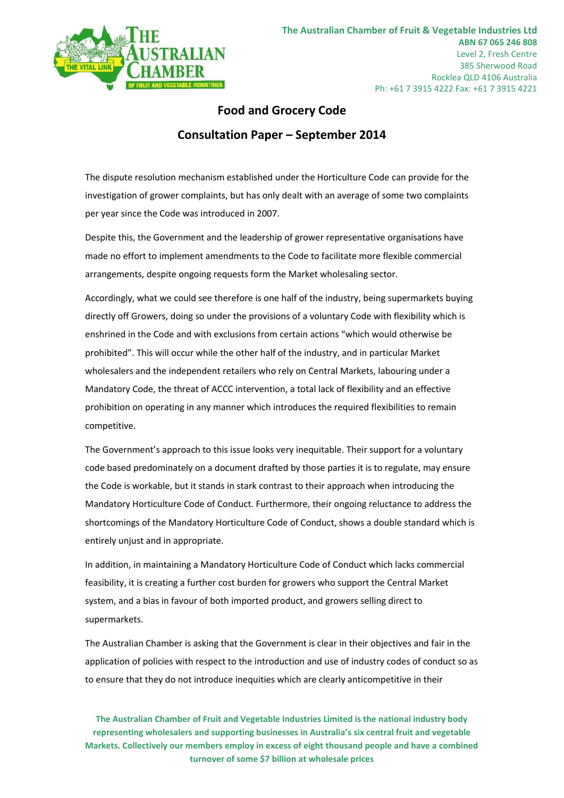

## **Food and Grocery Code Consultation Paper – September 2014**

The dispute resolution mechanism established under the Horticulture Code can provide for the investigation of grower complaints, but has only dealt with an average of some two complaints per year since the Code was introduced in 2007.

Despite this, the Government and the leadership of grower representative organisations have made no effort to implement amendments to the Code to facilitate more flexible commercial arrangements, despite ongoing requests form the Market wholesaling sector.

Accordingly, what we could see therefore is one half of the industry, being supermarkets buying directly off Growers, doing so under the provisions of a voluntary Code with flexibility which is enshrined in the Code and with exclusions from certain actions "which would otherwise be prohibited". This will occur while the other half of the industry, and in particular Market wholesalers and the independent retailers who rely on Central Markets, labouring under a Mandatory Code, the threat of ACCC intervention, a total lack of flexibility and an effective prohibition on operating in any manner which introduces the required flexibilities to remain competitive.

The Government's approach to this issue looks very inequitable. Their support for a voluntary code based predominately on a document drafted by those parties it is to regulate, may ensure the Code is workable, but it stands in stark contrast to their approach when introducing the Mandatory Horticulture Code of Conduct. Furthermore, their ongoing reluctance to address the shortcomings of the Mandatory Horticulture Code of Conduct, shows a double standard which is entirely unjust and in appropriate.

In addition, in maintaining a Mandatory Horticulture Code of Conduct which lacks commercial feasibility, it is creating a further cost burden for growers who support the Central Market system, and a bias in favour of both imported product, and growers selling direct to supermarkets.

The Australian Chamber is asking that the Government is clear in their objectives and fair in the application of policies with respect to the introduction and use of industry codes of conduct so as to ensure that they do not introduce inequities which are clearly anticompetitive in their

**The Australian Chamber of Fruit and Vegetable Industries Limited is the national industry body representing wholesalers and supporting businesses in Australia's six central fruit and vegetable Markets. Collectively our members employ in excess of eight thousand people and have a combined turnover of some \$7 billion at wholesale prices**